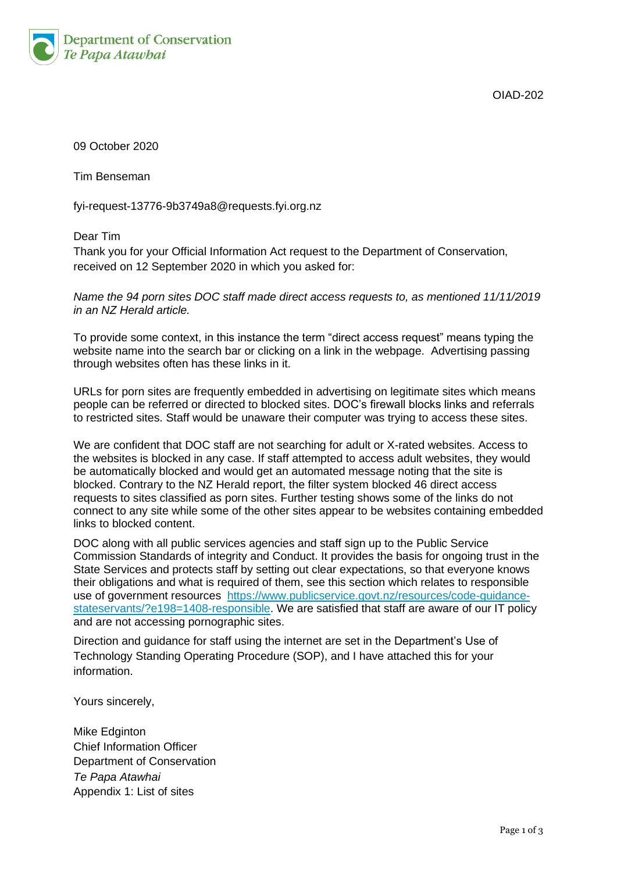

OIAD-202

09 October 2020

Tim Benseman

fyi-request-13776-9b3749a8@requests.fyi.org.nz

## Dear Tim

Thank you for your Official Information Act request to the Department of Conservation, received on 12 September 2020 in which you asked for:

*Name the 94 porn sites DOC staff made direct access requests to, as mentioned 11/11/2019 in an NZ Herald article.*

To provide some context, in this instance the term "direct access request" means typing the website name into the search bar or clicking on a link in the webpage. Advertising passing through websites often has these links in it.

URLs for porn sites are frequently embedded in advertising on legitimate sites which means people can be referred or directed to blocked sites. DOC's firewall blocks links and referrals to restricted sites. Staff would be unaware their computer was trying to access these sites.

We are confident that DOC staff are not searching for adult or X-rated websites. Access to the websites is blocked in any case. If staff attempted to access adult websites, they would be automatically blocked and would get an automated message noting that the site is blocked. Contrary to the NZ Herald report, the filter system blocked 46 direct access requests to sites classified as porn sites. Further testing shows some of the links do not connect to any site while some of the other sites appear to be websites containing embedded links to blocked content.

DOC along with all public services agencies and staff sign up to the Public Service Commission Standards of integrity and Conduct. It provides the basis for ongoing trust in the State Services and protects staff by setting out clear expectations, so that everyone knows their obligations and what is required of them, see this section which relates to responsible use of government resources [https://www.publicservice.govt.nz/resources/code-guidance](https://www.publicservice.govt.nz/resources/code-guidance-stateservants/?e198=1408-responsible)[stateservants/?e198=1408-responsible.](https://www.publicservice.govt.nz/resources/code-guidance-stateservants/?e198=1408-responsible) We are satisfied that staff are aware of our IT policy and are not accessing pornographic sites.

Direction and guidance for staff using the internet are set in the Department's Use of Technology Standing Operating Procedure (SOP), and I have attached this for your information.

Yours sincerely,

Mike Edginton Chief Information Officer Department of Conservation *Te Papa Atawhai* Appendix 1: List of sites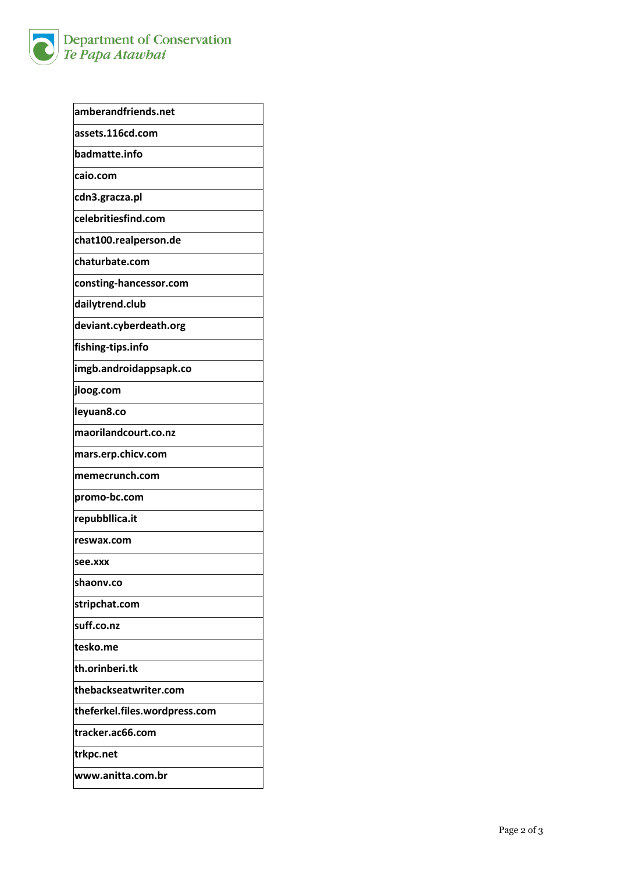

Department of Conservation<br>Te Papa Atawbai

| amberandfriends.net           |
|-------------------------------|
| assets.116cd.com              |
| badmatte.info                 |
| caio.com                      |
| cdn3.gracza.pl                |
| celebritiesfind.com           |
| chat100.realperson.de         |
| chaturbate.com                |
| consting-hancessor.com        |
| dailytrend.club               |
| deviant.cyberdeath.org        |
| fishing-tips.info             |
| imgb.androidappsapk.co        |
| jloog.com                     |
| leyuan8.co                    |
| maorilandcourt.co.nz          |
| mars.erp.chicv.com            |
| memecrunch.com                |
| promo-bc.com                  |
| repubbllica.it                |
| reswax.com                    |
| see.xxx                       |
| shaonv.co                     |
| stripchat.com                 |
| suff.co.nz                    |
| tesko.me                      |
| th.orinberi.tk                |
| thebackseatwriter.com         |
| theferkel.files.wordpress.com |
| tracker.ac66.com              |
| trkpc.net                     |
| www.anitta.com.br             |